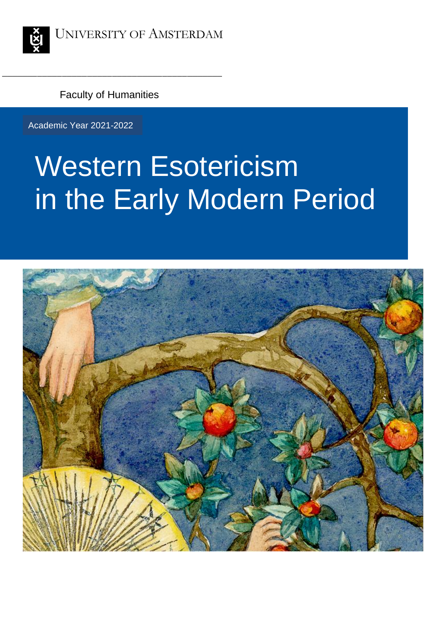

Faculty of Humanities

\_\_\_\_\_\_\_\_\_\_\_\_\_\_\_\_\_\_\_\_\_\_\_\_\_\_\_\_\_\_\_\_\_\_\_\_\_\_\_\_\_\_\_\_

Academic Year 2021-2022

# Western Esotericism in the Early Modern Period

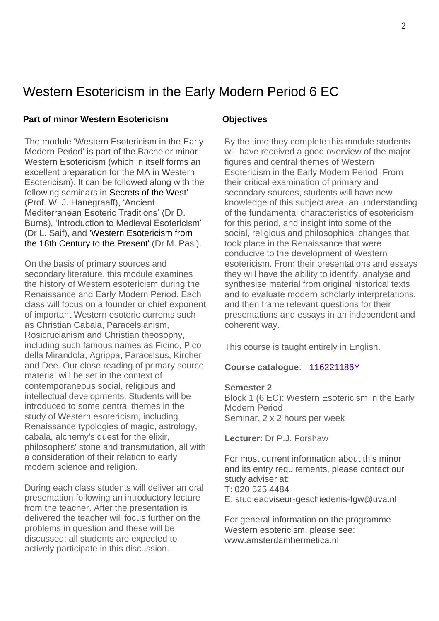## Western Esotericism in the Early Modern Period 6 EC

#### **Part of minor Western Esotericism Objectives**

The module 'Western Esotericism in the Early Modern Period' is part of the Bachelor minor Western Esotericism (which in itself forms an excellent preparation for the MA in Western Esotericism). It can be followed along with the following seminars in Secrets of the West' (Prof. W. J. Hanegraaff), 'Ancient Mediterranean Esoteric Traditions' (Dr D. Burns), 'Introduction to Medieval Esotericism' (Dr L. Saif), and 'Western Esotericism from the 18th Century to the Present' (Dr M. Pasi).

On the basis of primary sources and secondary literature, this module examines the history of Western esotericism during the Renaissance and Early Modern Period. Each class will focus on a founder or chief exponent of important Western esoteric currents such as Christian Cabala, Paracelsianism, Rosicrucianism and Christian theosophy, including such famous names as Ficino, Pico della Mirandola, Agrippa, Paracelsus, Kircher and Dee. Our close reading of primary source material will be set in the context of contemporaneous social, religious and intellectual developments. Students will be introduced to some central themes in the study of Western esotericism, including Renaissance typologies of magic, astrology, cabala, alchemy's quest for the elixir, philosophers' stone and transmutation, all with a consideration of their relation to early modern science and religion.

During each class students will deliver an oral presentation following an introductory lecture from the teacher. After the presentation is delivered the teacher will focus further on the problems in question and these will be discussed; all students are expected to actively participate in this discussion.

By the time they complete this module students will have received a good overview of the major figures and central themes of Western Esotericism in the Early Modern Period. From their critical examination of primary and secondary sources, students will have new knowledge of this subject area, an understanding of the fundamental characteristics of esotericism for this period, and insight into some of the social, religious and philosophical changes that took place in the Renaissance that were conducive to the development of Western esotericism. From their presentations and essays they will have the ability to identify, analyse and synthesise material from original historical texts and to evaluate modern scholarly interpretations, and then frame relevant questions for their presentations and essays in an independent and coherent way.

This course is taught entirely in English.

**Course catalogue**: 116221186Y

#### **Semester 2**

Block 1 (6 EC): Western Esotericism in the Early Modern Period Seminar, 2 x 2 hours per week

**Lecturer**: Dr P.J. Forshaw

For most current information about this minor and its entry requirements, please contact our study adviser at: T: 020 525 4484 E: studieadviseur-geschiedenis-fgw@uva.nl

For general information on the programme Western esotericism, please see: www.amsterdamhermetica.nl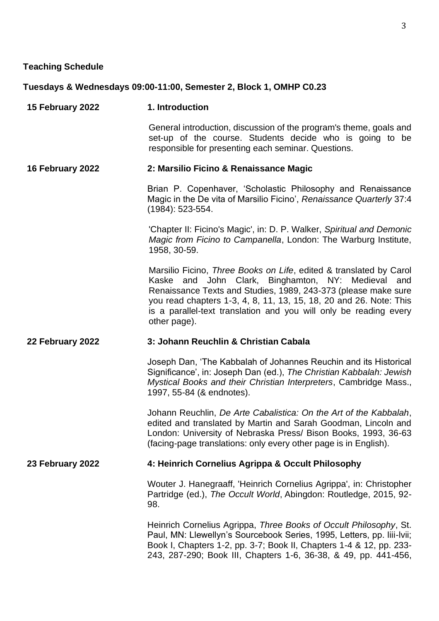#### **Teaching Schedule**

#### **Tuesdays & Wednesdays 09:00-11:00, Semester 2, Block 1, OMHP C0.23**

**15 February 2022 1. Introduction**

General introduction, discussion of the program's theme, goals and set-up of the course. Students decide who is going to be responsible for presenting each seminar. Questions.

#### **16 February 2022 2: Marsilio Ficino & Renaissance Magic**

Brian P. Copenhaver, 'Scholastic Philosophy and Renaissance Magic in the De vita of Marsilio Ficino', *Renaissance Quarterly* 37:4 (1984): 523-554.

'Chapter II: Ficino's Magic', in: D. P. Walker, *Spiritual and Demonic Magic from Ficino to Campanella*, London: The Warburg Institute, 1958, 30-59.

Marsilio Ficino, *Three Books on Life*, edited & translated by Carol Kaske and John Clark, Binghamton, NY: Medieval and Renaissance Texts and Studies, 1989, 243-373 (please make sure you read chapters 1-3, 4, 8, 11, 13, 15, 18, 20 and 26. Note: This is a parallel-text translation and you will only be reading every other page).

#### **22 February 2022 3: Johann Reuchlin & Christian Cabala**

Joseph Dan, 'The Kabbalah of Johannes Reuchin and its Historical Significance', in: Joseph Dan (ed.), *The Christian Kabbalah: Jewish Mystical Books and their Christian Interpreters*, Cambridge Mass., 1997, 55-84 (& endnotes).

Johann Reuchlin, *De Arte Cabalistica: On the Art of the Kabbalah*, edited and translated by Martin and Sarah Goodman, Lincoln and London: University of Nebraska Press/ Bison Books, 1993, 36-63 (facing-page translations: only every other page is in English).

#### **23 February 2022 4: Heinrich Cornelius Agrippa & Occult Philosophy**

Wouter J. Hanegraaff, 'Heinrich Cornelius Agrippa', in: Christopher Partridge (ed.), *The Occult World*, Abingdon: Routledge, 2015, 92- 98.

Heinrich Cornelius Agrippa, *Three Books of Occult Philosophy*, St. Paul, MN: Llewellyn's Sourcebook Series, 1995, Letters, pp. liii-lvii; Book I, Chapters 1-2, pp. 3-7; Book II, Chapters 1-4 & 12, pp. 233- 243, 287-290; Book III, Chapters 1-6, 36-38, & 49, pp. 441-456,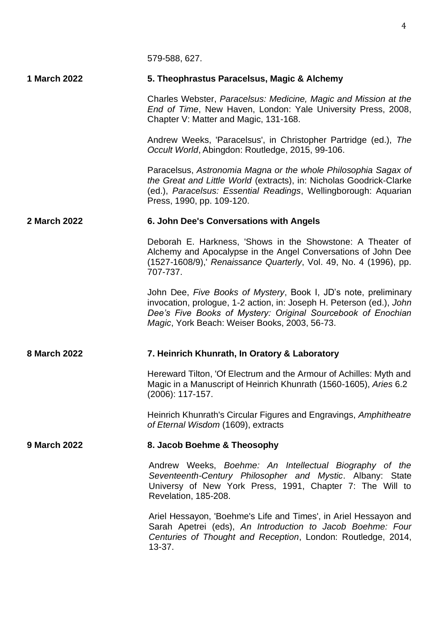579-588, 627.

#### **1 March 2022 5. Theophrastus Paracelsus, Magic & Alchemy**

Charles Webster, *Paracelsus: Medicine, Magic and Mission at the End of Time*, New Haven, London: Yale University Press, 2008, Chapter V: Matter and Magic, 131-168.

Andrew Weeks, 'Paracelsus', in Christopher Partridge (ed.), *The Occult World*, Abingdon: Routledge, 2015, 99-106.

Paracelsus, *Astronomia Magna or the whole Philosophia Sagax of the Great and Little World* (extracts), in: Nicholas Goodrick-Clarke (ed.), *Paracelsus: Essential Readings*, Wellingborough: Aquarian Press, 1990, pp. 109-120.

#### **2 March 2022 6. John Dee's Conversations with Angels**

Deborah E. Harkness, 'Shows in the Showstone: A Theater of Alchemy and Apocalypse in the Angel Conversations of John Dee (1527-1608/9),' *Renaissance Quarterly*, Vol. 49, No. 4 (1996), pp. 707-737.

John Dee, *Five Books of Mystery*, Book I, JD's note, preliminary invocation, prologue, 1-2 action, in: Joseph H. Peterson (ed.), *John Dee's Five Books of Mystery: Original Sourcebook of Enochian Magic*, York Beach: Weiser Books, 2003, 56-73.

#### **8 March 2022 7. Heinrich Khunrath, In Oratory & Laboratory**

Hereward Tilton, 'Of Electrum and the Armour of Achilles: Myth and Magic in a Manuscript of Heinrich Khunrath (1560-1605), *Aries* 6.2 (2006): 117-157.

Heinrich Khunrath's Circular Figures and Engravings, *Amphitheatre of Eternal Wisdom* (1609), extracts

#### **9 March 2022 8. Jacob Boehme & Theosophy**

Andrew Weeks, *Boehme: An Intellectual Biography of the Seventeenth-Century Philosopher and Mystic*. Albany: State Universy of New York Press, 1991, Chapter 7: The Will to Revelation, 185-208.

Ariel Hessayon, 'Boehme's Life and Times', in Ariel Hessayon and Sarah Apetrei (eds), *An Introduction to Jacob Boehme: Four Centuries of Thought and Reception*, London: Routledge, 2014, 13-37.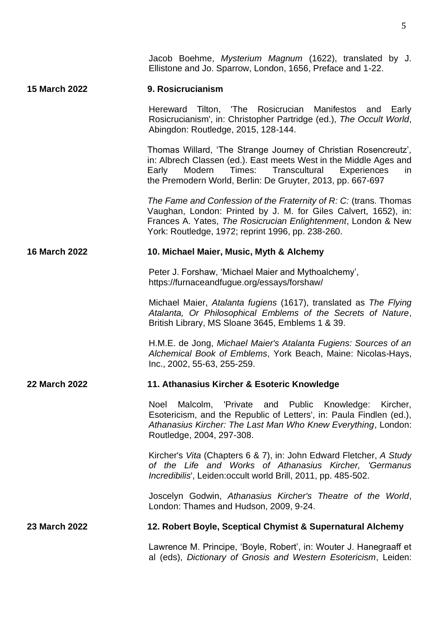Jacob Boehme, *Mysterium Magnum* (1622), translated by J. Ellistone and Jo. Sparrow, London, 1656, Preface and 1-22.

#### **15 March 2022 9. Rosicrucianism**

Hereward Tilton, 'The Rosicrucian Manifestos and Early Rosicrucianism', in: Christopher Partridge (ed.), *The Occult World*, Abingdon: Routledge, 2015, 128-144.

Thomas Willard, 'The Strange Journey of Christian Rosencreutz', in: Albrech Classen (ed.). East meets West in the Middle Ages and Early Modern Times: Transcultural Experiences in the Premodern World, Berlin: De Gruyter, 2013, pp. 667-697

*The Fame and Confession of the Fraternity of R: C:* (trans. Thomas Vaughan, London: Printed by J. M. for Giles Calvert, 1652), in: Frances A. Yates, *The Rosicrucian Enlightenment*, London & New York: Routledge, 1972; reprint 1996, pp. 238-260.

#### **16 March 2022 10. Michael Maier, Music, Myth & Alchemy**

Peter J. Forshaw, 'Michael Maier and Mythoalchemy', https://furnaceandfugue.org/essays/forshaw/

Michael Maier, *Atalanta fugiens* (1617), translated as *The Flying Atalanta, Or Philosophical Emblems of the Secrets of Nature*, British Library, MS Sloane 3645, Emblems 1 & 39.

H.M.E. de Jong, *Michael Maier's Atalanta Fugiens: Sources of an Alchemical Book of Emblems*, York Beach, Maine: Nicolas-Hays, Inc., 2002, 55-63, 255-259.

#### **22 March 2022 11. Athanasius Kircher & Esoteric Knowledge**

Noel Malcolm, 'Private and Public Knowledge: Kircher, Esotericism, and the Republic of Letters', in: Paula Findlen (ed.), *Athanasius Kircher: The Last Man Who Knew Everything*, London: Routledge, 2004, 297-308.

Kircher's *Vita* (Chapters 6 & 7), in: John Edward Fletcher, *A Study of the Life and Works of Athanasius Kircher, 'Germanus Incredibilis*', Leiden:occult world Brill, 2011, pp. 485-502.

Joscelyn Godwin, *Athanasius Kircher's Theatre of the World*, London: Thames and Hudson, 2009, 9-24.

#### **23 March 2022 12. Robert Boyle, Sceptical Chymist & Supernatural Alchemy**

Lawrence M. Principe, 'Boyle, Robert', in: Wouter J. Hanegraaff et al (eds), *Dictionary of Gnosis and Western Esotericism*, Leiden: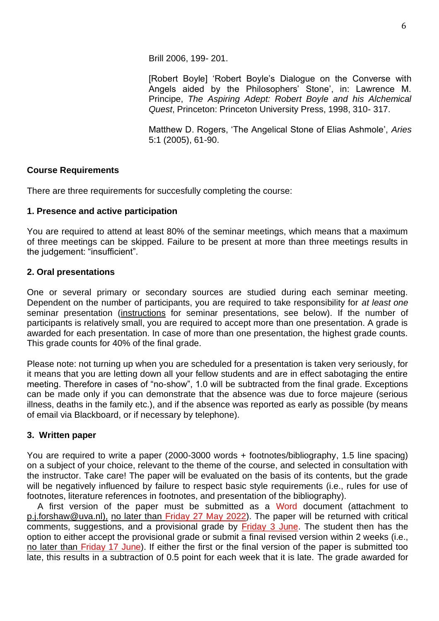Brill 2006, 199- 201.

[Robert Boyle] 'Robert Boyle's Dialogue on the Converse with Angels aided by the Philosophers' Stone', in: Lawrence M. Principe, *The Aspiring Adept: Robert Boyle and his Alchemical Quest*, Princeton: Princeton University Press, 1998, 310- 317.

Matthew D. Rogers, 'The Angelical Stone of Elias Ashmole', *Aries* 5:1 (2005), 61-90.

## **Course Requirements**

There are three requirements for succesfully completing the course:

#### **1. Presence and active participation**

You are required to attend at least 80% of the seminar meetings, which means that a maximum of three meetings can be skipped. Failure to be present at more than three meetings results in the judgement: "insufficient".

#### **2. Oral presentations**

One or several primary or secondary sources are studied during each seminar meeting. Dependent on the number of participants, you are required to take responsibility for *at least one* seminar presentation (instructions for seminar presentations, see below). If the number of participants is relatively small, you are required to accept more than one presentation. A grade is awarded for each presentation. In case of more than one presentation, the highest grade counts. This grade counts for 40% of the final grade.

Please note: not turning up when you are scheduled for a presentation is taken very seriously, for it means that you are letting down all your fellow students and are in effect sabotaging the entire meeting. Therefore in cases of "no-show", 1.0 will be subtracted from the final grade. Exceptions can be made only if you can demonstrate that the absence was due to force majeure (serious illness, deaths in the family etc.), and if the absence was reported as early as possible (by means of email via Blackboard, or if necessary by telephone).

#### **3. Written paper**

You are required to write a paper (2000-3000 words + footnotes/bibliography, 1.5 line spacing) on a subject of your choice, relevant to the theme of the course, and selected in consultation with the instructor. Take care! The paper will be evaluated on the basis of its contents, but the grade will be negatively influenced by failure to respect basic style requirements (i.e., rules for use of footnotes, literature references in footnotes, and presentation of the bibliography).

A first version of the paper must be submitted as a Word document (attachment to p.j.forshaw@uva.nl), no later than Friday 27 May 2022). The paper will be returned with critical comments, suggestions, and a provisional grade by Friday 3 June. The student then has the option to either accept the provisional grade or submit a final revised version within 2 weeks (i.e., no later than Friday 17 June). If either the first or the final version of the paper is submitted too late, this results in a subtraction of 0.5 point for each week that it is late. The grade awarded for